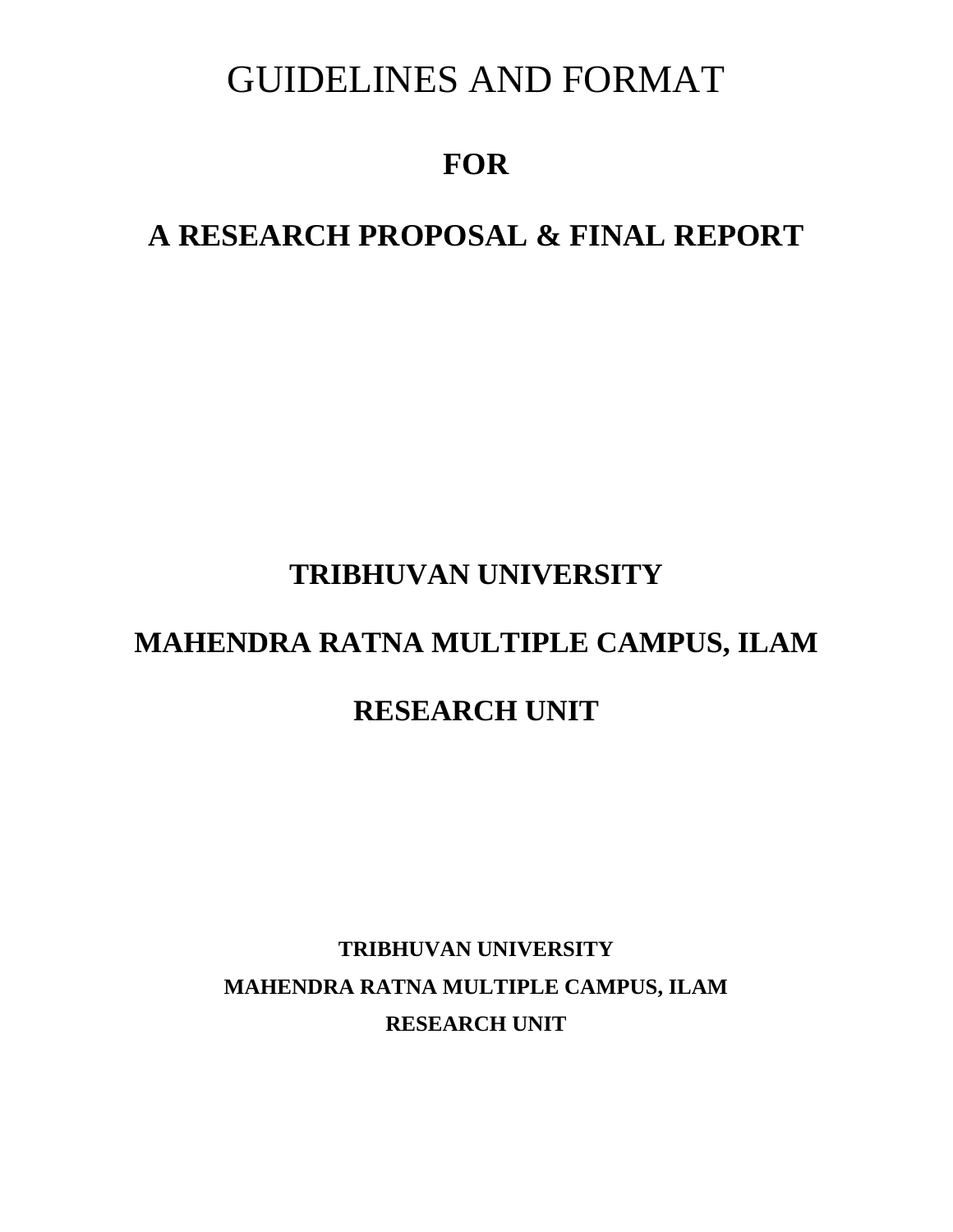# GUIDELINES AND FORMAT

# **FOR**

# **A RESEARCH PROPOSAL & FINAL REPORT**

# **TRIBHUVAN UNIVERSITY**

# **MAHENDRA RATNA MULTIPLE CAMPUS, ILAM**

# **RESEARCH UNIT**

# **TRIBHUVAN UNIVERSITY MAHENDRA RATNA MULTIPLE CAMPUS, ILAM RESEARCH UNIT**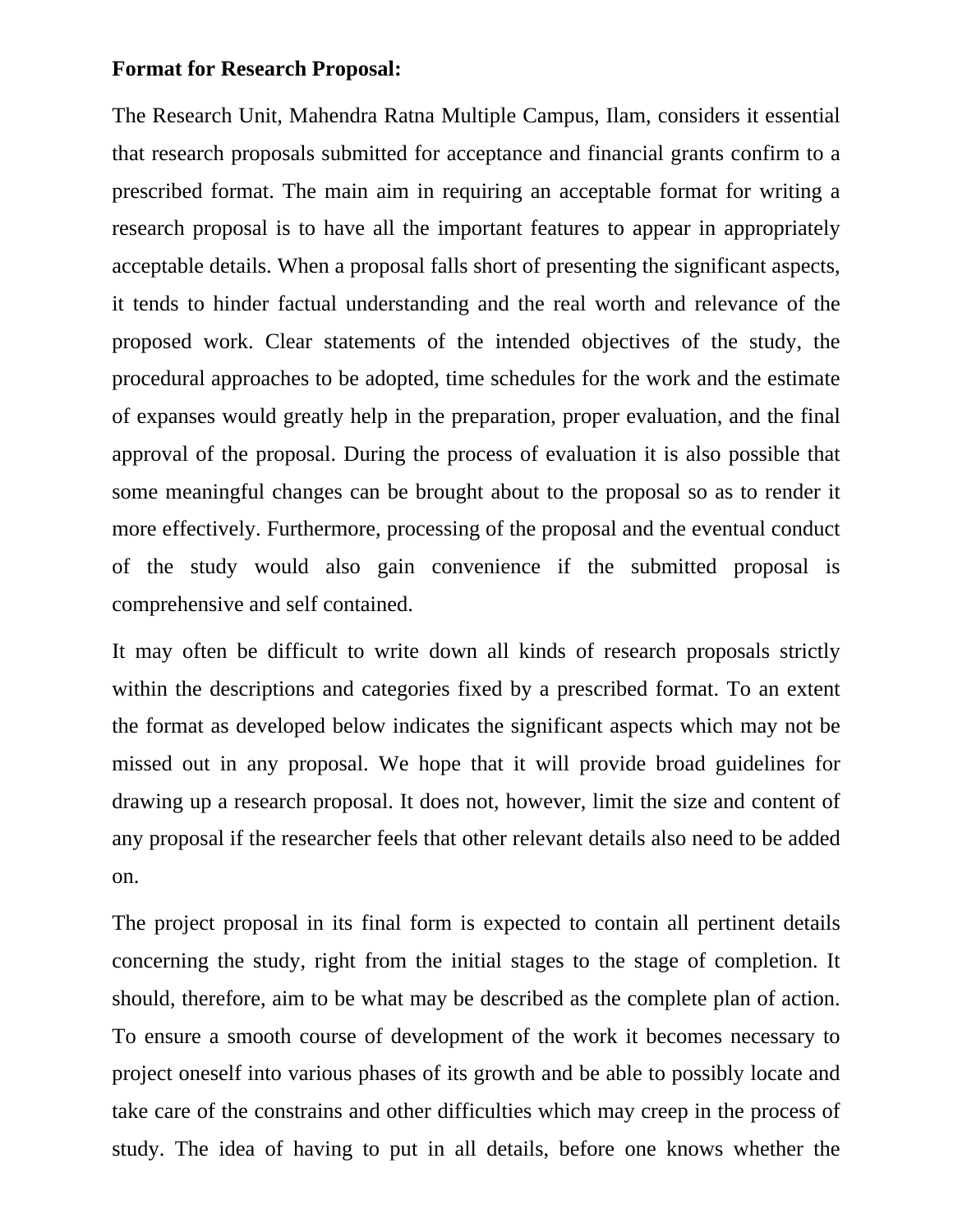#### **Format for Research Proposal:**

The Research Unit, Mahendra Ratna Multiple Campus, Ilam, considers it essential that research proposals submitted for acceptance and financial grants confirm to a prescribed format. The main aim in requiring an acceptable format for writing a research proposal is to have all the important features to appear in appropriately acceptable details. When a proposal falls short of presenting the significant aspects, it tends to hinder factual understanding and the real worth and relevance of the proposed work. Clear statements of the intended objectives of the study, the procedural approaches to be adopted, time schedules for the work and the estimate of expanses would greatly help in the preparation, proper evaluation, and the final approval of the proposal. During the process of evaluation it is also possible that some meaningful changes can be brought about to the proposal so as to render it more effectively. Furthermore, processing of the proposal and the eventual conduct of the study would also gain convenience if the submitted proposal is comprehensive and self contained.

It may often be difficult to write down all kinds of research proposals strictly within the descriptions and categories fixed by a prescribed format. To an extent the format as developed below indicates the significant aspects which may not be missed out in any proposal. We hope that it will provide broad guidelines for drawing up a research proposal. It does not, however, limit the size and content of any proposal if the researcher feels that other relevant details also need to be added on.

The project proposal in its final form is expected to contain all pertinent details concerning the study, right from the initial stages to the stage of completion. It should, therefore, aim to be what may be described as the complete plan of action. To ensure a smooth course of development of the work it becomes necessary to project oneself into various phases of its growth and be able to possibly locate and take care of the constrains and other difficulties which may creep in the process of study. The idea of having to put in all details, before one knows whether the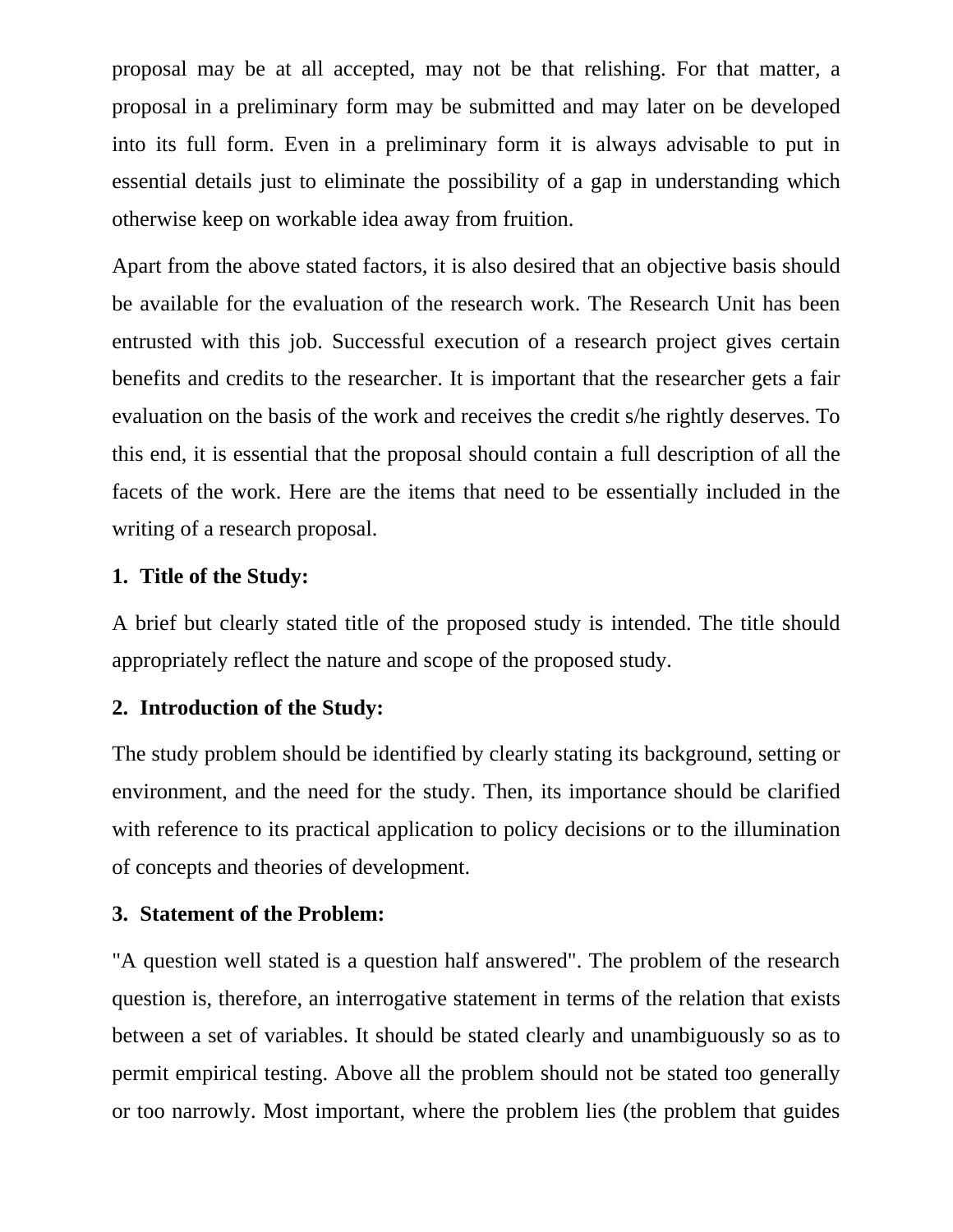proposal may be at all accepted, may not be that relishing. For that matter, a proposal in a preliminary form may be submitted and may later on be developed into its full form. Even in a preliminary form it is always advisable to put in essential details just to eliminate the possibility of a gap in understanding which otherwise keep on workable idea away from fruition.

Apart from the above stated factors, it is also desired that an objective basis should be available for the evaluation of the research work. The Research Unit has been entrusted with this job. Successful execution of a research project gives certain benefits and credits to the researcher. It is important that the researcher gets a fair evaluation on the basis of the work and receives the credit s/he rightly deserves. To this end, it is essential that the proposal should contain a full description of all the facets of the work. Here are the items that need to be essentially included in the writing of a research proposal.

## **1. Title of the Study:**

A brief but clearly stated title of the proposed study is intended. The title should appropriately reflect the nature and scope of the proposed study.

## **2. Introduction of the Study:**

The study problem should be identified by clearly stating its background, setting or environment, and the need for the study. Then, its importance should be clarified with reference to its practical application to policy decisions or to the illumination of concepts and theories of development.

#### **3. Statement of the Problem:**

"A question well stated is a question half answered". The problem of the research question is, therefore, an interrogative statement in terms of the relation that exists between a set of variables. It should be stated clearly and unambiguously so as to permit empirical testing. Above all the problem should not be stated too generally or too narrowly. Most important, where the problem lies (the problem that guides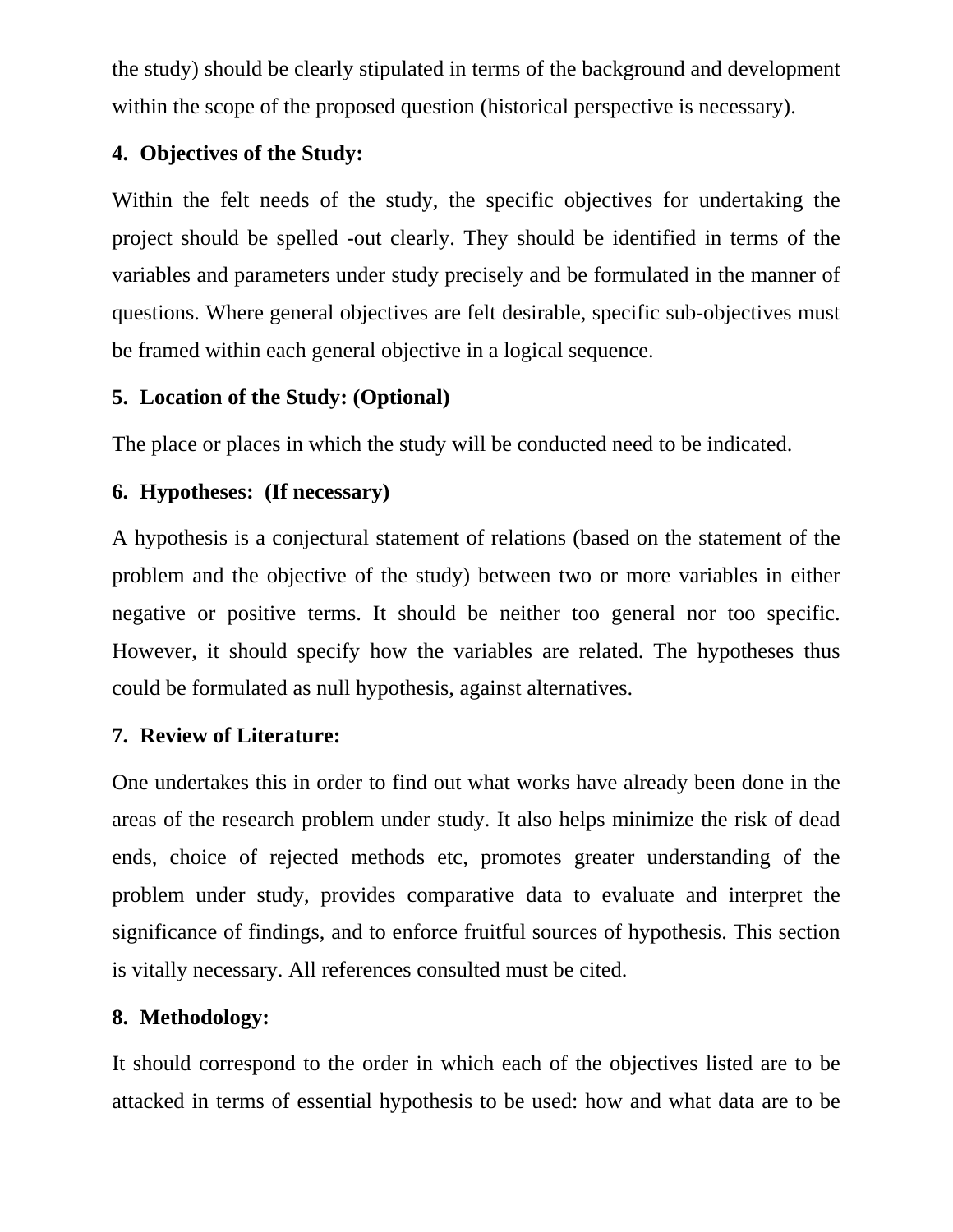the study) should be clearly stipulated in terms of the background and development within the scope of the proposed question (historical perspective is necessary).

# **4. Objectives of the Study:**

Within the felt needs of the study, the specific objectives for undertaking the project should be spelled -out clearly. They should be identified in terms of the variables and parameters under study precisely and be formulated in the manner of questions. Where general objectives are felt desirable, specific sub-objectives must be framed within each general objective in a logical sequence.

## **5. Location of the Study: (Optional)**

The place or places in which the study will be conducted need to be indicated.

# **6. Hypotheses: (If necessary)**

A hypothesis is a conjectural statement of relations (based on the statement of the problem and the objective of the study) between two or more variables in either negative or positive terms. It should be neither too general nor too specific. However, it should specify how the variables are related. The hypotheses thus could be formulated as null hypothesis, against alternatives.

# **7. Review of Literature:**

One undertakes this in order to find out what works have already been done in the areas of the research problem under study. It also helps minimize the risk of dead ends, choice of rejected methods etc, promotes greater understanding of the problem under study, provides comparative data to evaluate and interpret the significance of findings, and to enforce fruitful sources of hypothesis. This section is vitally necessary. All references consulted must be cited.

# **8. Methodology:**

It should correspond to the order in which each of the objectives listed are to be attacked in terms of essential hypothesis to be used: how and what data are to be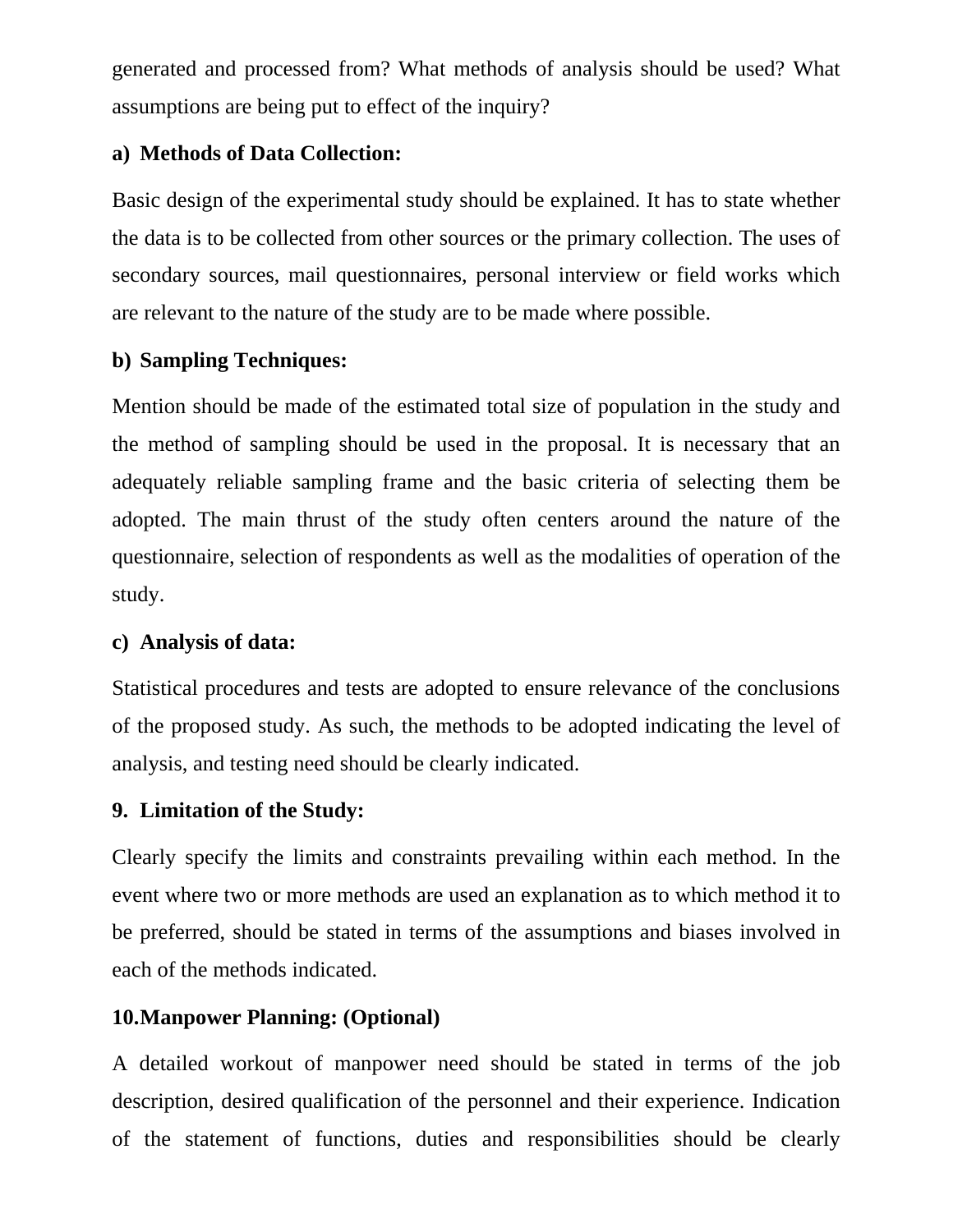generated and processed from? What methods of analysis should be used? What assumptions are being put to effect of the inquiry?

## **a) Methods of Data Collection:**

Basic design of the experimental study should be explained. It has to state whether the data is to be collected from other sources or the primary collection. The uses of secondary sources, mail questionnaires, personal interview or field works which are relevant to the nature of the study are to be made where possible.

## **b) Sampling Techniques:**

Mention should be made of the estimated total size of population in the study and the method of sampling should be used in the proposal. It is necessary that an adequately reliable sampling frame and the basic criteria of selecting them be adopted. The main thrust of the study often centers around the nature of the questionnaire, selection of respondents as well as the modalities of operation of the study.

## **c) Analysis of data:**

Statistical procedures and tests are adopted to ensure relevance of the conclusions of the proposed study. As such, the methods to be adopted indicating the level of analysis, and testing need should be clearly indicated.

## **9. Limitation of the Study:**

Clearly specify the limits and constraints prevailing within each method. In the event where two or more methods are used an explanation as to which method it to be preferred, should be stated in terms of the assumptions and biases involved in each of the methods indicated.

## **10.Manpower Planning: (Optional)**

A detailed workout of manpower need should be stated in terms of the job description, desired qualification of the personnel and their experience. Indication of the statement of functions, duties and responsibilities should be clearly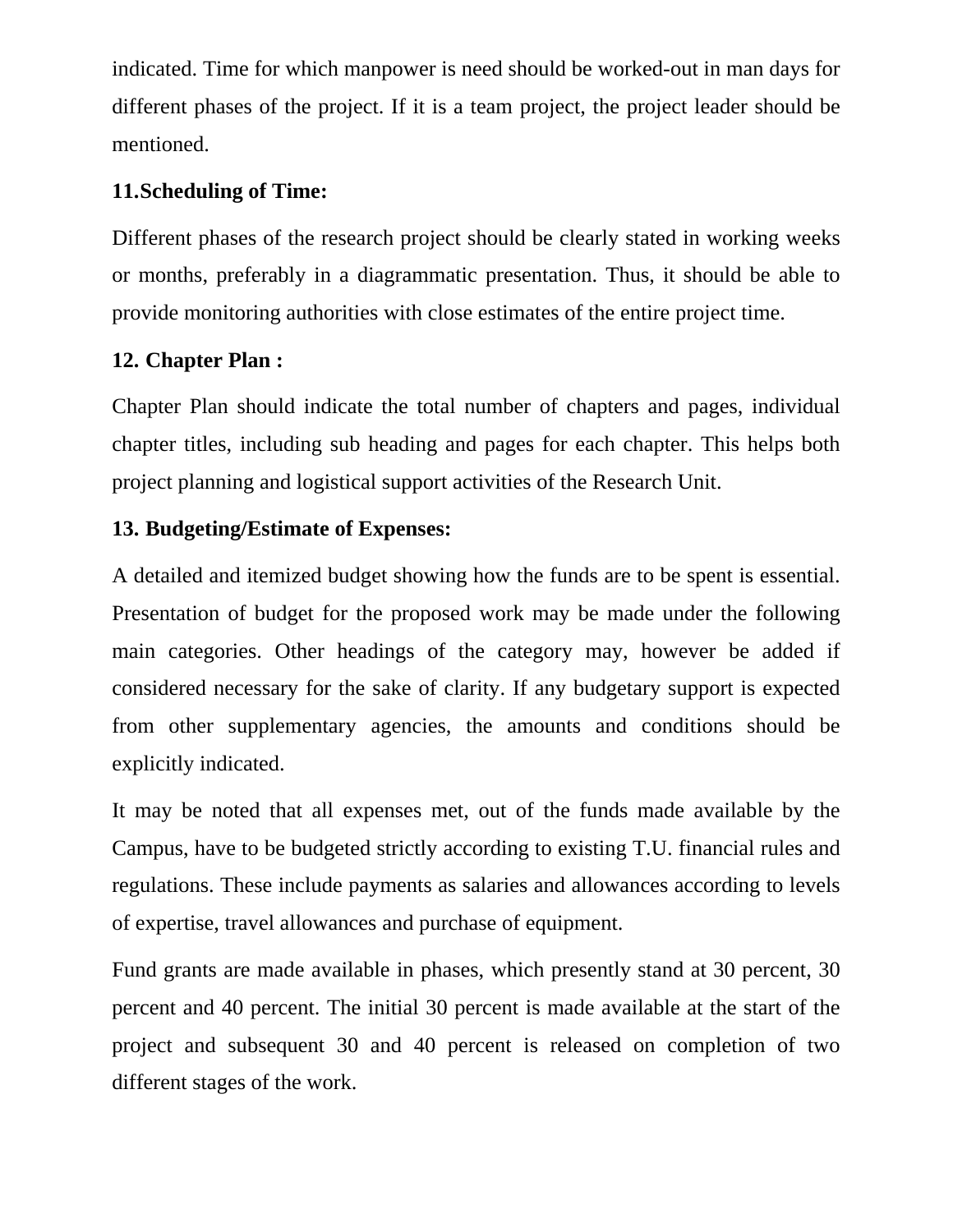indicated. Time for which manpower is need should be worked-out in man days for different phases of the project. If it is a team project, the project leader should be mentioned.

## **11.Scheduling of Time:**

Different phases of the research project should be clearly stated in working weeks or months, preferably in a diagrammatic presentation. Thus, it should be able to provide monitoring authorities with close estimates of the entire project time.

## **12. Chapter Plan :**

Chapter Plan should indicate the total number of chapters and pages, individual chapter titles, including sub heading and pages for each chapter. This helps both project planning and logistical support activities of the Research Unit.

## **13. Budgeting/Estimate of Expenses:**

A detailed and itemized budget showing how the funds are to be spent is essential. Presentation of budget for the proposed work may be made under the following main categories. Other headings of the category may, however be added if considered necessary for the sake of clarity. If any budgetary support is expected from other supplementary agencies, the amounts and conditions should be explicitly indicated.

It may be noted that all expenses met, out of the funds made available by the Campus, have to be budgeted strictly according to existing T.U. financial rules and regulations. These include payments as salaries and allowances according to levels of expertise, travel allowances and purchase of equipment.

Fund grants are made available in phases, which presently stand at 30 percent, 30 percent and 40 percent. The initial 30 percent is made available at the start of the project and subsequent 30 and 40 percent is released on completion of two different stages of the work.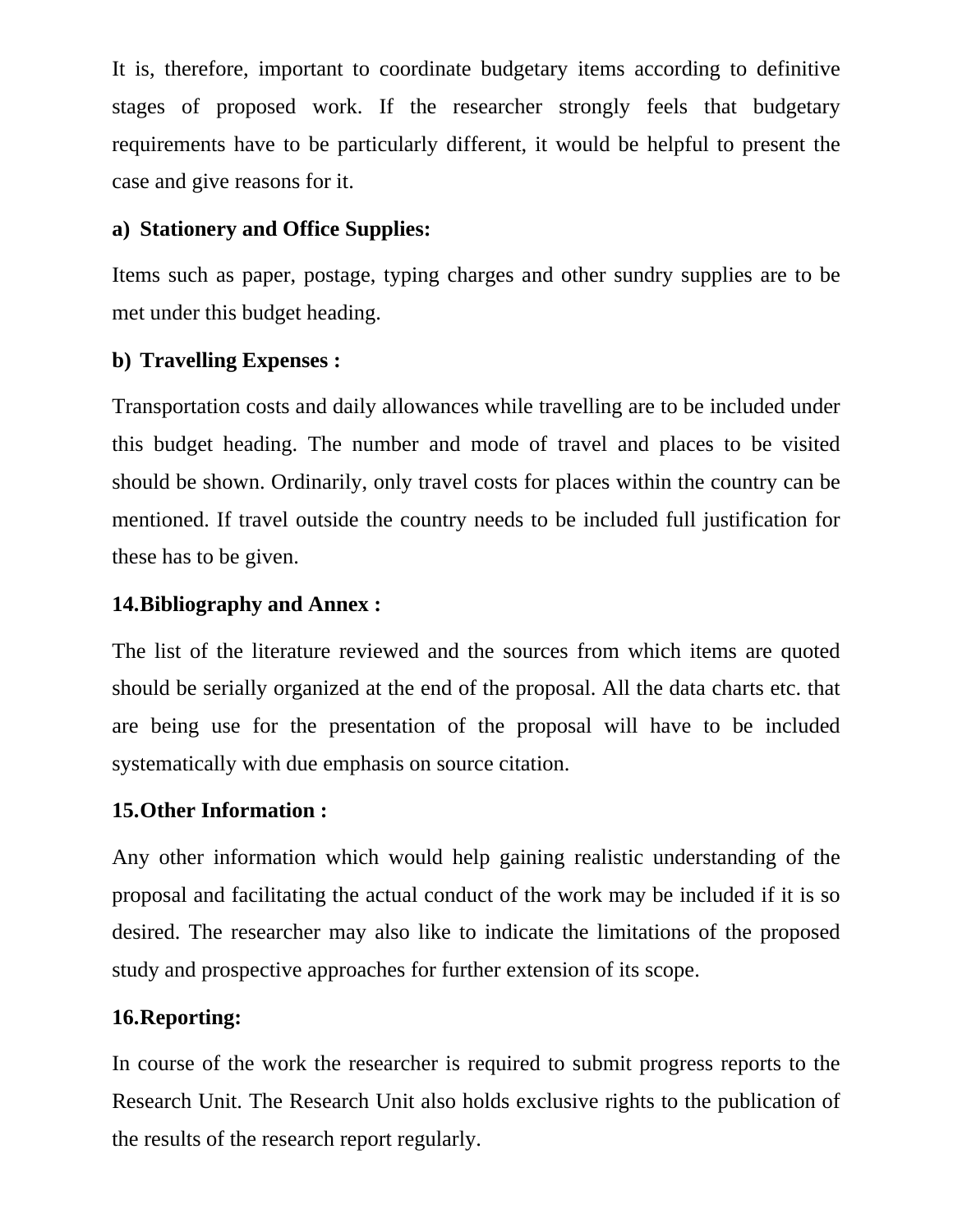It is, therefore, important to coordinate budgetary items according to definitive stages of proposed work. If the researcher strongly feels that budgetary requirements have to be particularly different, it would be helpful to present the case and give reasons for it.

## **a) Stationery and Office Supplies:**

Items such as paper, postage, typing charges and other sundry supplies are to be met under this budget heading.

## **b) Travelling Expenses :**

Transportation costs and daily allowances while travelling are to be included under this budget heading. The number and mode of travel and places to be visited should be shown. Ordinarily, only travel costs for places within the country can be mentioned. If travel outside the country needs to be included full justification for these has to be given.

## **14.Bibliography and Annex :**

The list of the literature reviewed and the sources from which items are quoted should be serially organized at the end of the proposal. All the data charts etc. that are being use for the presentation of the proposal will have to be included systematically with due emphasis on source citation.

## **15.Other Information :**

Any other information which would help gaining realistic understanding of the proposal and facilitating the actual conduct of the work may be included if it is so desired. The researcher may also like to indicate the limitations of the proposed study and prospective approaches for further extension of its scope.

## **16.Reporting:**

In course of the work the researcher is required to submit progress reports to the Research Unit. The Research Unit also holds exclusive rights to the publication of the results of the research report regularly.